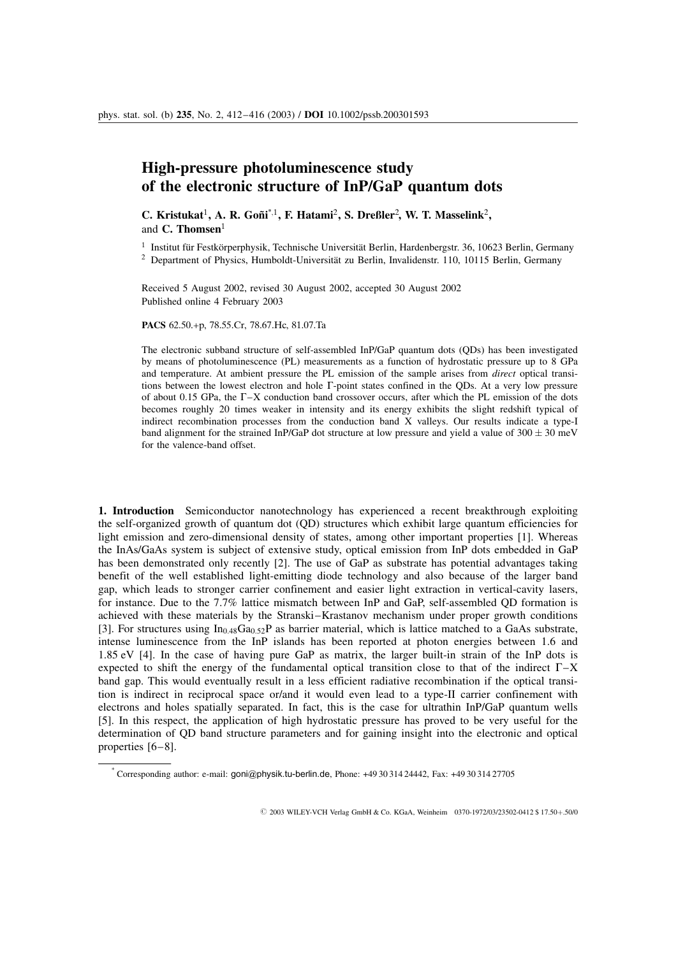## High-pressure photoluminescence study of the electronic structure of InP/GaP quantum dots

C. Kristukat<sup>1</sup>, A. R. Goñi<sup>\*,1</sup>, F. Hatami<sup>2</sup>, S. Dreßler<sup>2</sup>, W. T. Masselink<sup>2</sup>, and  $C$ . Thomsen $<sup>1</sup>$ </sup>

 $1$  Institut für Festkörperphysik, Technische Universität Berlin, Hardenbergstr. 36, 10623 Berlin, Germany

<sup>2</sup> Department of Physics, Humboldt-Universität zu Berlin, Invalidenstr. 110, 10115 Berlin, Germany

Received 5 August 2002, revised 30 August 2002, accepted 30 August 2002 Published online 4 February 2003

PACS 62.50.+p, 78.55.Cr, 78.67.Hc, 81.07.Ta

The electronic subband structure of self-assembled InP/GaP quantum dots (QDs) has been investigated by means of photoluminescence (PL) measurements as a function of hydrostatic pressure up to 8 GPa and temperature. At ambient pressure the PL emission of the sample arises from direct optical transitions between the lowest electron and hole G-point states confined in the QDs. At a very low pressure of about 0.15 GPa, the  $\Gamma$ –X conduction band crossover occurs, after which the PL emission of the dots becomes roughly 20 times weaker in intensity and its energy exhibits the slight redshift typical of indirect recombination processes from the conduction band X valleys. Our results indicate a type-I band alignment for the strained InP/GaP dot structure at low pressure and yield a value of  $300 \pm 30$  meV for the valence-band offset.

1. Introduction Semiconductor nanotechnology has experienced a recent breakthrough exploiting the self-organized growth of quantum dot (QD) structures which exhibit large quantum efficiencies for light emission and zero-dimensional density of states, among other important properties [1]. Whereas the InAs/GaAs system is subject of extensive study, optical emission from InP dots embedded in GaP has been demonstrated only recently [2]. The use of GaP as substrate has potential advantages taking benefit of the well established light-emitting diode technology and also because of the larger band gap, which leads to stronger carrier confinement and easier light extraction in vertical-cavity lasers, for instance. Due to the 7.7% lattice mismatch between InP and GaP, self-assembled QD formation is achieved with these materials by the Stranski–Krastanov mechanism under proper growth conditions [3]. For structures using  $In_{0.48}Ga_{0.52}P$  as barrier material, which is lattice matched to a GaAs substrate, intense luminescence from the InP islands has been reported at photon energies between 1.6 and 1.85 eV [4]. In the case of having pure GaP as matrix, the larger built-in strain of the InP dots is expected to shift the energy of the fundamental optical transition close to that of the indirect  $\Gamma$ -X band gap. This would eventually result in a less efficient radiative recombination if the optical transition is indirect in reciprocal space or/and it would even lead to a type-II carrier confinement with electrons and holes spatially separated. In fact, this is the case for ultrathin InP/GaP quantum wells [5]. In this respect, the application of high hydrostatic pressure has proved to be very useful for the determination of QD band structure parameters and for gaining insight into the electronic and optical properties [6–8].

© 2003 WILEY-VCH Verlag GmbH & Co. KGaA, Weinheim 0370-1972/03/23502-0412 \$ 17.50+.50/0

<sup>\*</sup> Corresponding author: e-mail: goni@physik.tu-berlin.de, Phone: +49 30 314 24442, Fax: +49 30 314 27705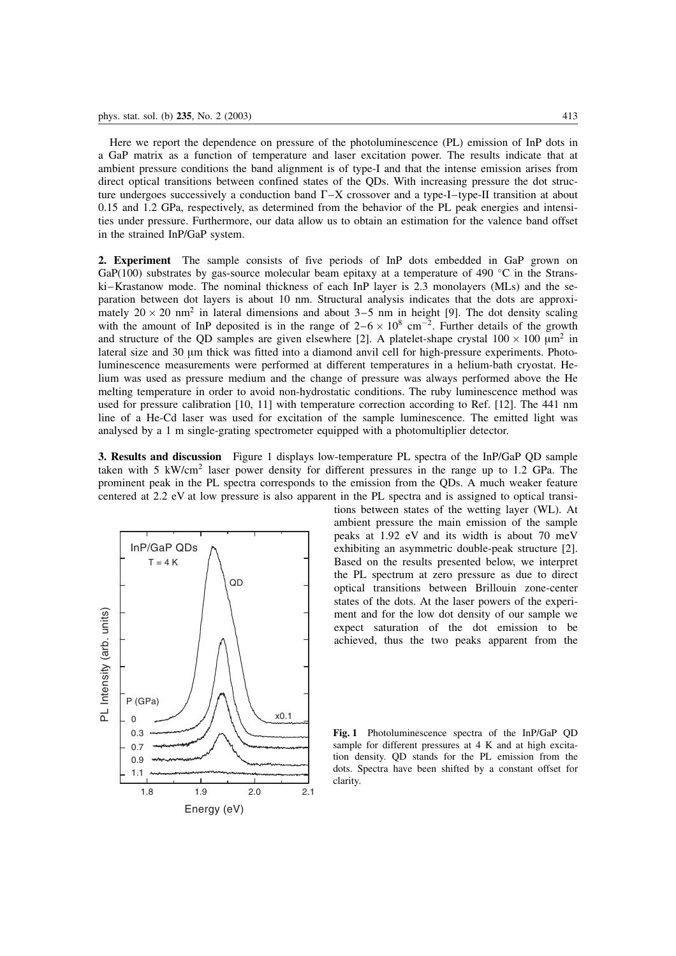Here we report the dependence on pressure of the photoluminescence (PL) emission of InP dots in a GaP matrix as a function of temperature and laser excitation power. The results indicate that at ambient pressure conditions the band alignment is of type-I and that the intense emission arises from direct optical transitions between confined states of the QDs. With increasing pressure the dot structure undergoes successively a conduction band  $\Gamma$ -X crossover and a type-I–type-II transition at about 0.15 and 1.2 GPa, respectively, as determined from the behavior of the PL peak energies and intensities under pressure. Furthermore, our data allow us to obtain an estimation for the valence band offset in the strained InP/GaP system.

2. Experiment The sample consists of five periods of InP dots embedded in GaP grown on GaP(100) substrates by gas-source molecular beam epitaxy at a temperature of 490  $^{\circ}$ C in the Stranski–Krastanow mode. The nominal thickness of each InP layer is 2.3 monolayers (MLs) and the separation between dot layers is about 10 nm. Structural analysis indicates that the dots are approximately  $20 \times 20$  nm<sup>2</sup> in lateral dimensions and about  $3-5$  nm in height [9]. The dot density scaling with the amount of InP deposited is in the range of  $2-6 \times 10^8$  cm<sup>-2</sup>. Further details of the growth and structure of the QD samples are given elsewhere [2]. A platelet-shape crystal  $100 \times 100 \mu m^2$  in lateral size and 30 µm thick was fitted into a diamond anvil cell for high-pressure experiments. Photoluminescence measurements were performed at different temperatures in a helium-bath cryostat. Helium was used as pressure medium and the change of pressure was always performed above the He melting temperature in order to avoid non-hydrostatic conditions. The ruby luminescence method was used for pressure calibration [10, 11] with temperature correction according to Ref. [12]. The 441 nm line of a He-Cd laser was used for excitation of the sample luminescence. The emitted light was analysed by a 1 m single-grating spectrometer equipped with a photomultiplier detector.

3. Results and discussion Figure 1 displays low-temperature PL spectra of the InP/GaP QD sample taken with 5 kW/cm<sup>2</sup> laser power density for different pressures in the range up to 1.2 GPa. The prominent peak in the PL spectra corresponds to the emission from the QDs. A much weaker feature centered at 2.2 eV at low pressure is also apparent in the PL spectra and is assigned to optical transi-



tions between states of the wetting layer (WL). At ambient pressure the main emission of the sample peaks at 1.92 eV and its width is about 70 meV exhibiting an asymmetric double-peak structure [2]. Based on the results presented below, we interpret the PL spectrum at zero pressure as due to direct optical transitions between Brillouin zone-center states of the dots. At the laser powers of the experiment and for the low dot density of our sample we expect saturation of the dot emission to be achieved, thus the two peaks apparent from the

Fig. 1 Photoluminescence spectra of the InP/GaP QD sample for different pressures at 4 K and at high excitation density. QD stands for the PL emission from the dots. Spectra have been shifted by a constant offset for clarity.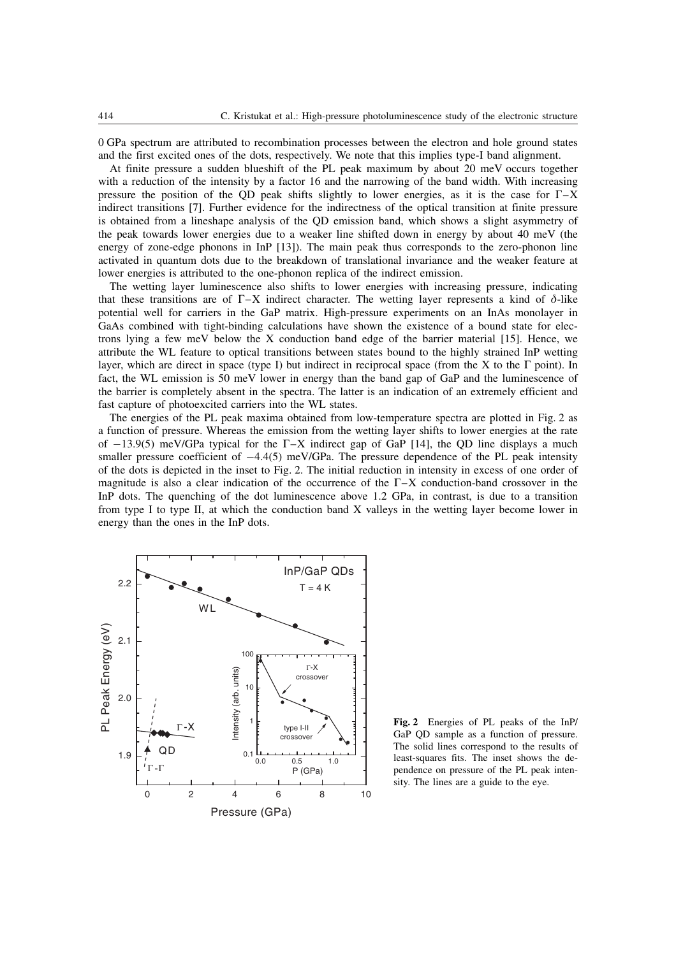0 GPa spectrum are attributed to recombination processes between the electron and hole ground states and the first excited ones of the dots, respectively. We note that this implies type-I band alignment.

At finite pressure a sudden blueshift of the PL peak maximum by about 20 meV occurs together with a reduction of the intensity by a factor 16 and the narrowing of the band width. With increasing pressure the position of the QD peak shifts slightly to lower energies, as it is the case for  $\Gamma$ –X indirect transitions [7]. Further evidence for the indirectness of the optical transition at finite pressure is obtained from a lineshape analysis of the QD emission band, which shows a slight asymmetry of the peak towards lower energies due to a weaker line shifted down in energy by about 40 meV (the energy of zone-edge phonons in InP [13]). The main peak thus corresponds to the zero-phonon line activated in quantum dots due to the breakdown of translational invariance and the weaker feature at lower energies is attributed to the one-phonon replica of the indirect emission.

The wetting layer luminescence also shifts to lower energies with increasing pressure, indicating that these transitions are of  $\Gamma$ –X indirect character. The wetting layer represents a kind of  $\delta$ -like potential well for carriers in the GaP matrix. High-pressure experiments on an InAs monolayer in GaAs combined with tight-binding calculations have shown the existence of a bound state for electrons lying a few meV below the X conduction band edge of the barrier material [15]. Hence, we attribute the WL feature to optical transitions between states bound to the highly strained InP wetting layer, which are direct in space (type I) but indirect in reciprocal space (from the X to the  $\Gamma$  point). In fact, the WL emission is 50 meV lower in energy than the band gap of GaP and the luminescence of the barrier is completely absent in the spectra. The latter is an indication of an extremely efficient and fast capture of photoexcited carriers into the WL states.

The energies of the PL peak maxima obtained from low-temperature spectra are plotted in Fig. 2 as a function of pressure. Whereas the emission from the wetting layer shifts to lower energies at the rate of  $-13.9(5)$  meV/GPa typical for the  $\Gamma$ -X indirect gap of GaP [14], the QD line displays a much smaller pressure coefficient of  $-4.4(5)$  meV/GPa. The pressure dependence of the PL peak intensity of the dots is depicted in the inset to Fig. 2. The initial reduction in intensity in excess of one order of magnitude is also a clear indication of the occurrence of the  $\Gamma$ -X conduction-band crossover in the InP dots. The quenching of the dot luminescence above 1.2 GPa, in contrast, is due to a transition from type I to type II, at which the conduction band X valleys in the wetting layer become lower in energy than the ones in the InP dots.



Fig. 2 Energies of PL peaks of the InP/ GaP QD sample as a function of pressure. The solid lines correspond to the results of least-squares fits. The inset shows the dependence on pressure of the PL peak intensity. The lines are a guide to the eye.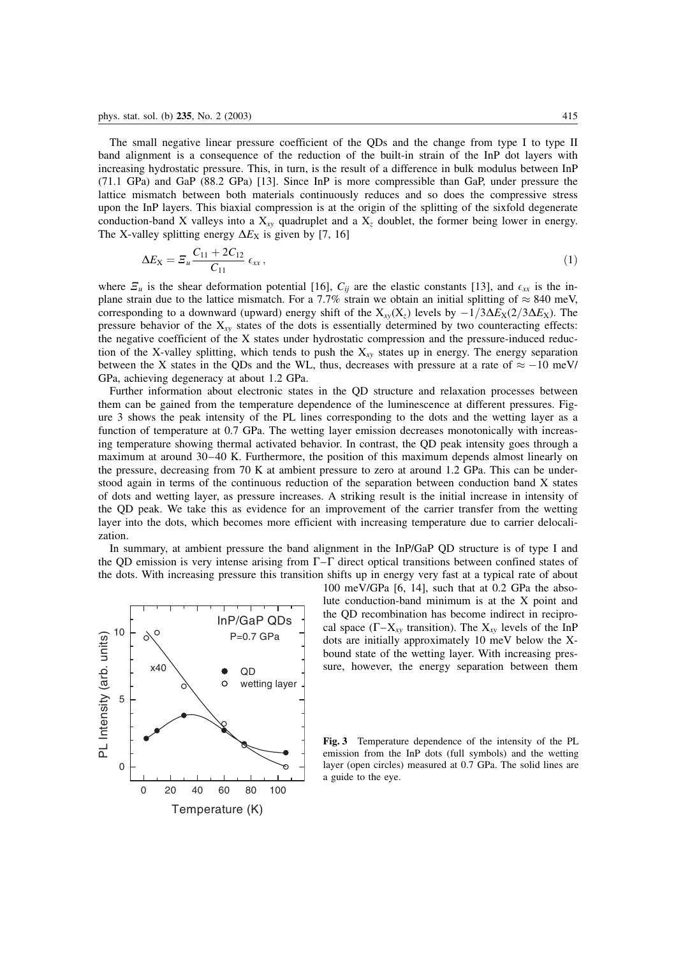The small negative linear pressure coefficient of the QDs and the change from type I to type II band alignment is a consequence of the reduction of the built-in strain of the InP dot layers with increasing hydrostatic pressure. This, in turn, is the result of a difference in bulk modulus between InP (71.1 GPa) and GaP (88.2 GPa) [13]. Since InP is more compressible than GaP, under pressure the lattice mismatch between both materials continuously reduces and so does the compressive stress upon the InP layers. This biaxial compression is at the origin of the splitting of the sixfold degenerate conduction-band X valleys into a  $X_{xy}$  quadruplet and a  $X_z$  doublet, the former being lower in energy. The X-valley splitting energy  $\Delta E_X$  is given by [7, 16]

$$
\Delta E_{\rm X} = \Sigma_u \frac{C_{11} + 2C_{12}}{C_{11}} \epsilon_{xx}, \qquad (1)
$$

where  $\mathcal{Z}_u$  is the shear deformation potential [16],  $C_{ij}$  are the elastic constants [13], and  $\epsilon_{xx}$  is the inplane strain due to the lattice mismatch. For a 7.7% strain we obtain an initial splitting of  $\approx 840$  meV, corresponding to a downward (upward) energy shift of the  $X_{xy}(X_z)$  levels by  $-1/3\Delta E_X(2/3\Delta E_X)$ . The pressure behavior of the  $X_{xy}$  states of the dots is essentially determined by two counteracting effects: the negative coefficient of the X states under hydrostatic compression and the pressure-induced reduction of the X-valley splitting, which tends to push the  $X_{xy}$  states up in energy. The energy separation between the X states in the QDs and the WL, thus, decreases with pressure at a rate of  $\approx -10$  meV/ GPa, achieving degeneracy at about 1.2 GPa.

Further information about electronic states in the QD structure and relaxation processes between them can be gained from the temperature dependence of the luminescence at different pressures. Figure 3 shows the peak intensity of the PL lines corresponding to the dots and the wetting layer as a function of temperature at 0.7 GPa. The wetting layer emission decreases monotonically with increasing temperature showing thermal activated behavior. In contrast, the QD peak intensity goes through a maximum at around 30–40 K. Furthermore, the position of this maximum depends almost linearly on the pressure, decreasing from 70 K at ambient pressure to zero at around 1.2 GPa. This can be understood again in terms of the continuous reduction of the separation between conduction band X states of dots and wetting layer, as pressure increases. A striking result is the initial increase in intensity of the QD peak. We take this as evidence for an improvement of the carrier transfer from the wetting layer into the dots, which becomes more efficient with increasing temperature due to carrier delocalization.

In summary, at ambient pressure the band alignment in the InP/GaP QD structure is of type I and the QD emission is very intense arising from  $\Gamma$ – $\Gamma$  direct optical transitions between confined states of the dots. With increasing pressure this transition shifts up in energy very fast at a typical rate of about



100 meV/GPa [6, 14], such that at 0.2 GPa the absolute conduction-band minimum is at the X point and the QD recombination has become indirect in reciprocal space  $(\Gamma - X_{xy}$  transition). The  $X_{xy}$  levels of the InP dots are initially approximately 10 meV below the Xbound state of the wetting layer. With increasing pressure, however, the energy separation between them

Fig. 3 Temperature dependence of the intensity of the PL emission from the InP dots (full symbols) and the wetting layer (open circles) measured at 0.7 GPa. The solid lines are a guide to the eye.